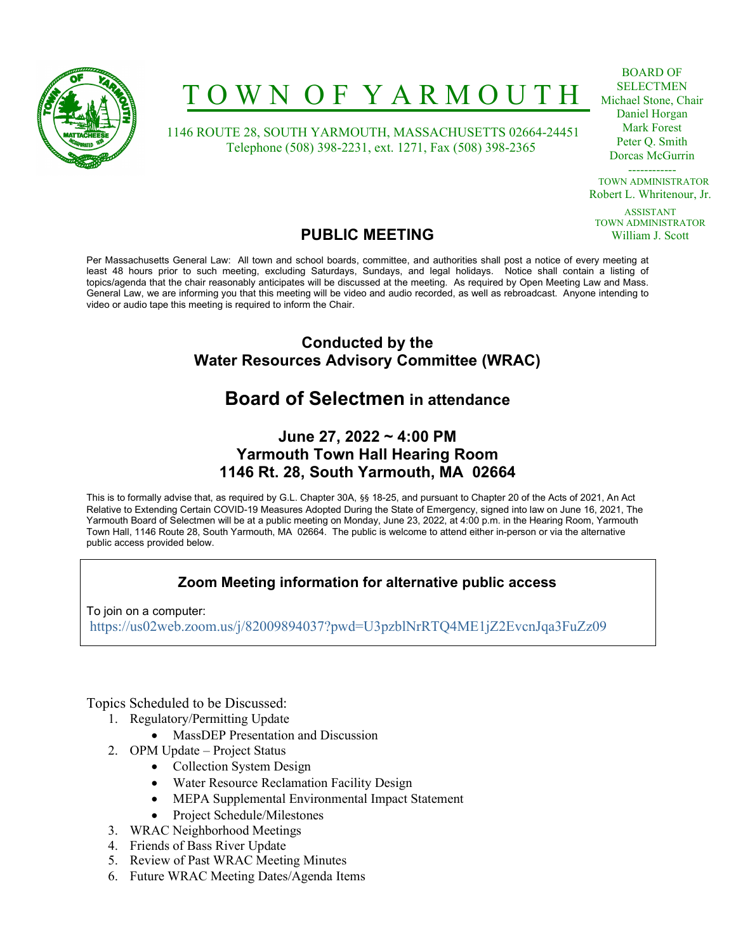

# T O W N O F Y A R M O U T H

 1146 ROUTE 28, SOUTH YARMOUTH, MASSACHUSETTS 02664-24451 Telephone (508) 398-2231, ext. 1271, Fax (508) 398-2365

BOARD OF SELECTMEN Michael Stone, Chair Daniel Horgan Mark Forest Peter Q. Smith Dorcas McGurrin

------------ TOWN ADMINISTRATOR Robert L. Whritenour, Jr.

ASSISTANT TOWN ADMINISTRATOR William J. Scott

### PUBLIC MEETING

Per Massachusetts General Law: All town and school boards, committee, and authorities shall post a notice of every meeting at least 48 hours prior to such meeting, excluding Saturdays, Sundays, and legal holidays. Notice shall contain a listing of topics/agenda that the chair reasonably anticipates will be discussed at the meeting. As required by Open Meeting Law and Mass. General Law, we are informing you that this meeting will be video and audio recorded, as well as rebroadcast. Anyone intending to video or audio tape this meeting is required to inform the Chair.

### Conducted by the Water Resources Advisory Committee (WRAC)

### Board of Selectmen in attendance

### June 27, 2022 ~ 4:00 PM Yarmouth Town Hall Hearing Room 1146 Rt. 28, South Yarmouth, MA 02664

This is to formally advise that, as required by G.L. Chapter 30A, §§ 18-25, and pursuant to Chapter 20 of the Acts of 2021, An Act Relative to Extending Certain COVID-19 Measures Adopted During the State of Emergency, signed into law on June 16, 2021, The Yarmouth Board of Selectmen will be at a public meeting on Monday, June 23, 2022, at 4:00 p.m. in the Hearing Room, Yarmouth Town Hall, 1146 Route 28, South Yarmouth, MA 02664. The public is welcome to attend either in-person or via the alternative public access provided below.

### Zoom Meeting information for alternative public access

To join on a computer: https://us02web.zoom.us/j/82009894037?pwd=U3pzblNrRTQ4ME1jZ2EvcnJqa3FuZz09

Topics Scheduled to be Discussed:

- 1. Regulatory/Permitting Update
	- MassDEP Presentation and Discussion
- 2. OPM Update Project Status
	- Collection System Design
	- Water Resource Reclamation Facility Design
	- MEPA Supplemental Environmental Impact Statement
	- Project Schedule/Milestones
- 3. WRAC Neighborhood Meetings
- 4. Friends of Bass River Update
- 5. Review of Past WRAC Meeting Minutes
- 6. Future WRAC Meeting Dates/Agenda Items